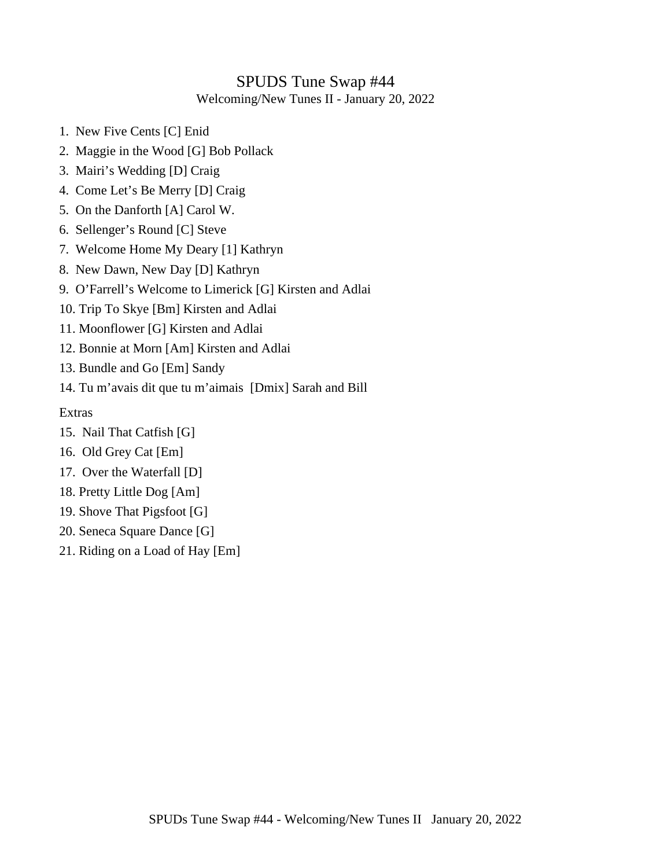## SPUDS Tune Swap #44

Welcoming/New Tunes II - January 20, 2022

- 1. New Five Cents [C] Enid
- 2. Maggie in the Wood [G] Bob Pollack
- 3. Mairi's Wedding [D] Craig
- 4. Come Let's Be Merry [D] Craig
- 5. On the Danforth [A] Carol W.
- 6. Sellenger's Round [C] Steve
- 7. Welcome Home My Deary [1] Kathryn
- 8. New Dawn, New Day [D] Kathryn
- 9. O'Farrell's Welcome to Limerick [G] Kirsten and Adlai
- 10. Trip To Skye [Bm] Kirsten and Adlai
- 11. Moonflower [G] Kirsten and Adlai
- 12. Bonnie at Morn [Am] Kirsten and Adlai
- 13. Bundle and Go [Em] Sandy
- 14. Tu m'avais dit que tu m'aimais [Dmix] Sarah and Bill

Extras

- 15. Nail That Catfish [G]
- 16. Old Grey Cat [Em]
- 17. Over the Waterfall [D]
- 18. Pretty Little Dog [Am]
- 19. Shove That Pigsfoot [G]
- 20. Seneca Square Dance [G]
- 21. Riding on a Load of Hay [Em]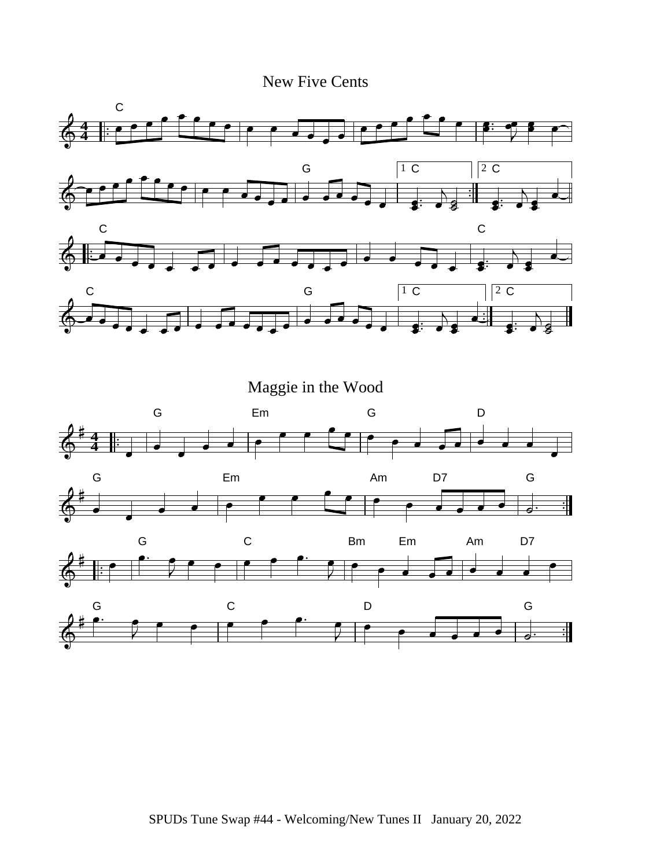New Five Cents

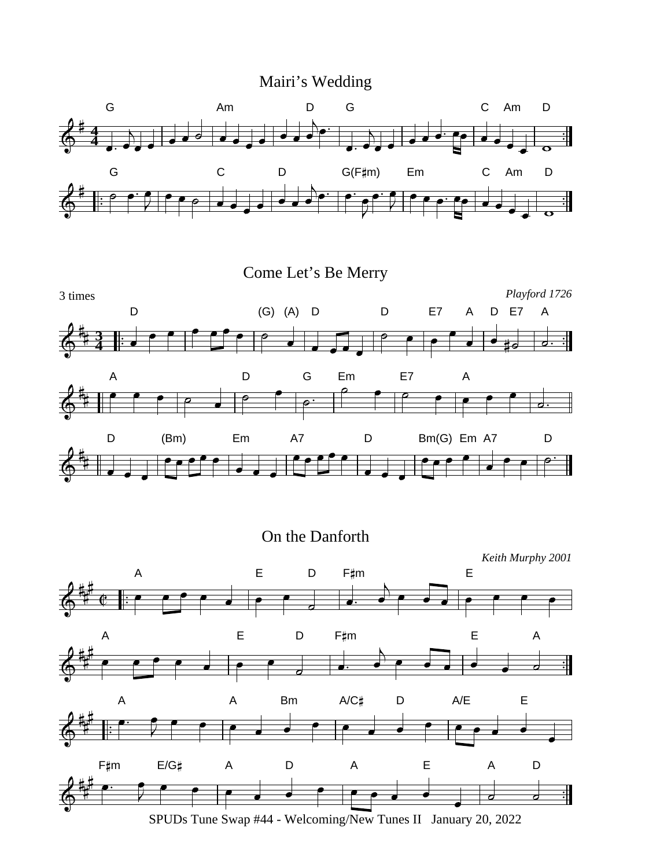



On the Danforth

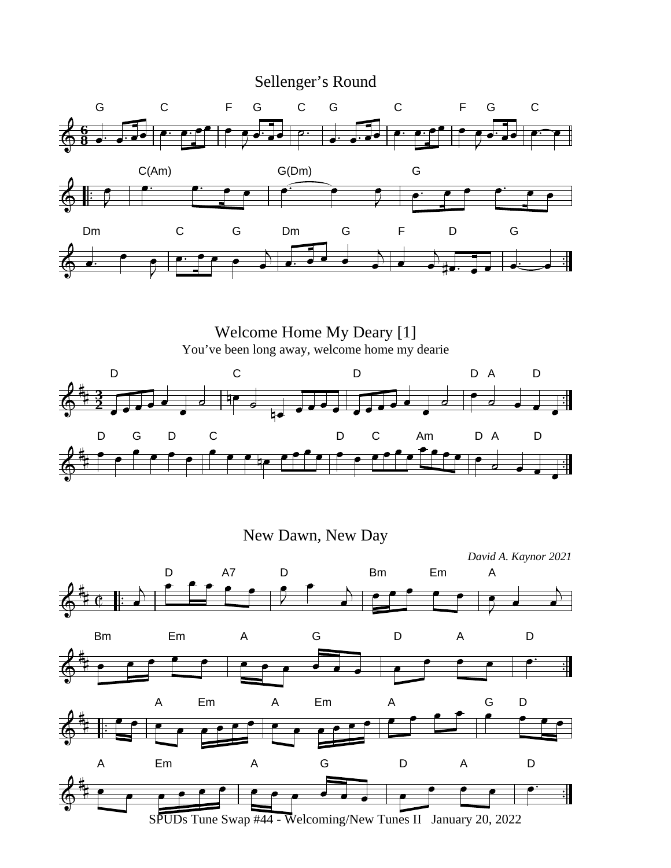

Welcome Home My Deary [1] You've been long away, welcome home my dearie D C D DA D **3**  $\overline{\mathbf{H}}$ **2** D G D C D C Am D A D Ħ

New Dawn, New Day

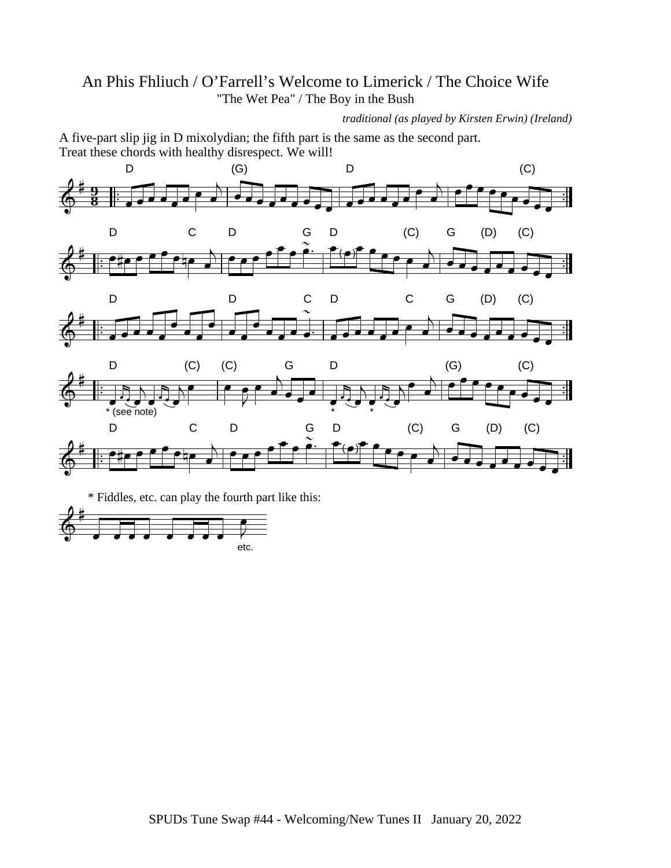## An Phis Fhliuch / O'Farrell's Welcome to Limerick / The Choice Wife "The Wet Pea" / The Boy in the Bush

*traditional (as played by Kirsten Erwin) (Ireland)*

A five-part slip jig in D mixolydian; the fifth part is the same as the second part. Treat these chords with healthy disrespect. We will!



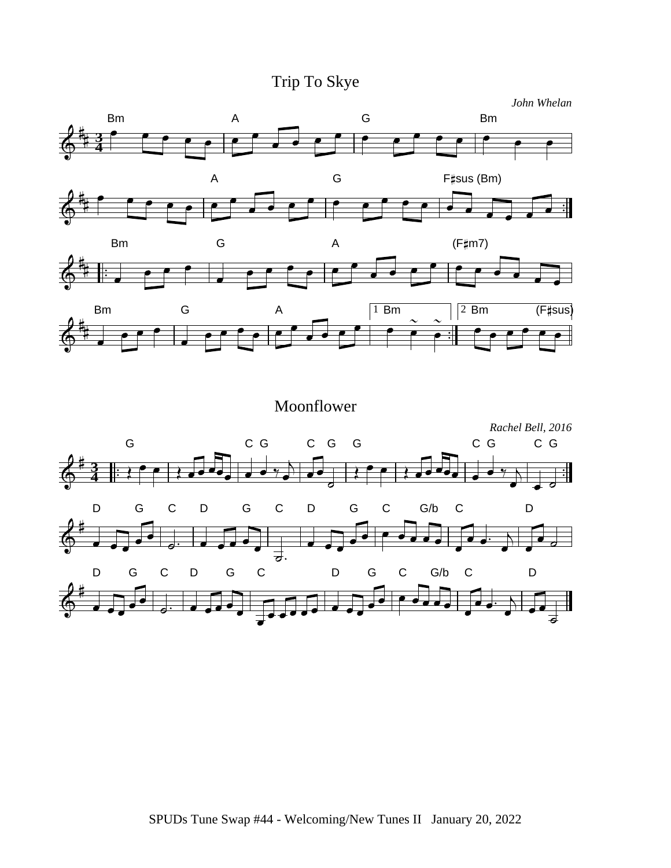Trip To Skye









Moonflower *Rachel Bell, 2016* G CG C G G CG CG **3 4** D G C D G C D G C G/b C D 궁. D G C D G C D G C G/b C D孟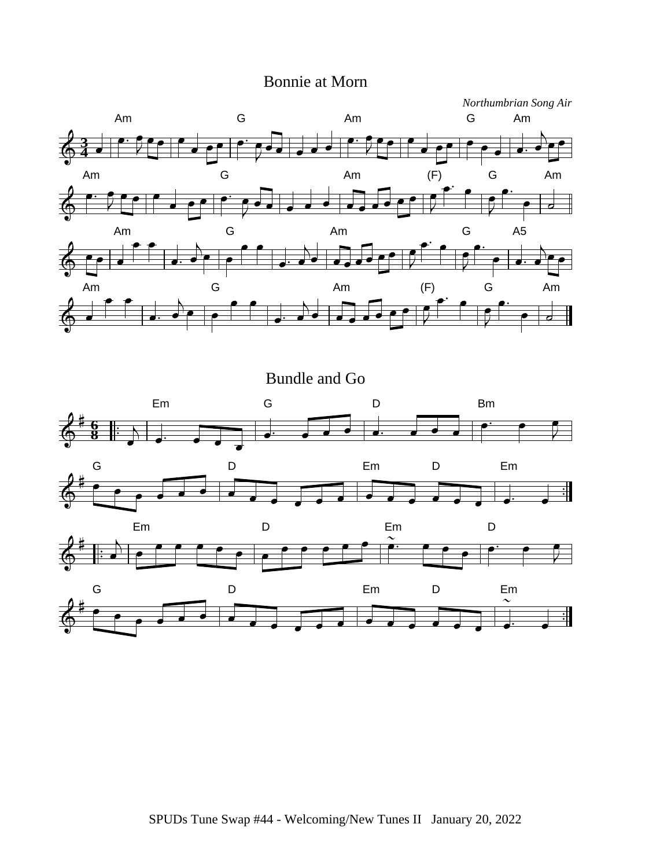## Bonnie at Morn

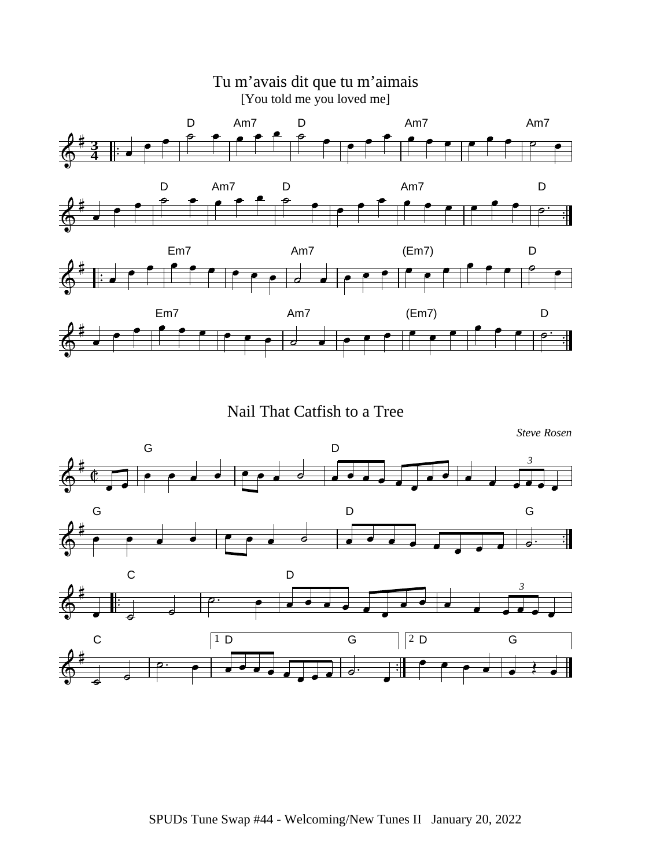

Nail That Catfish to a Tree

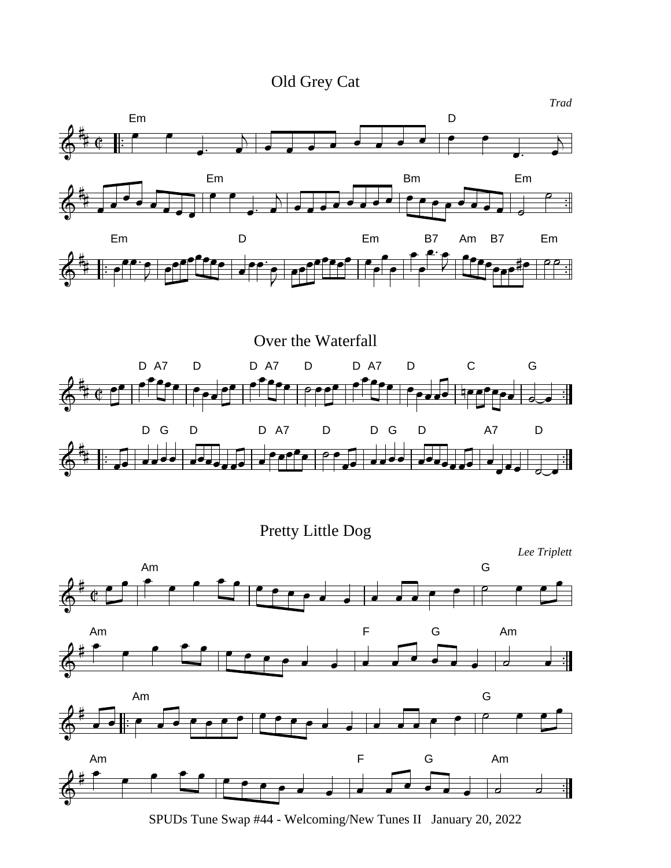Old Grey Cat



Pretty Little Dog



SPUDs Tune Swap #44 - Welcoming/New Tunes II January 20, 2022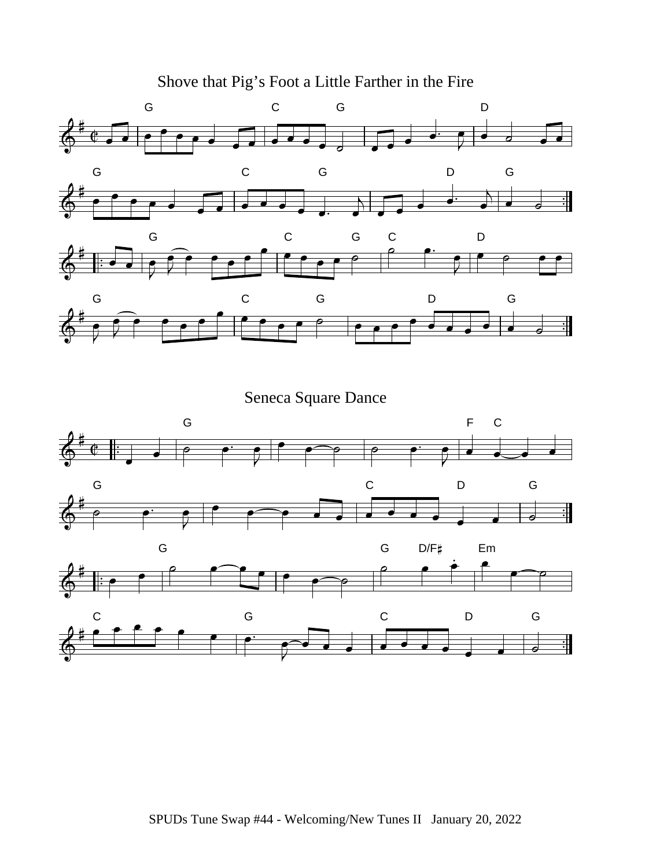Shove that Pig's Foot a Little Farther in the Fire



Seneca Square Dance